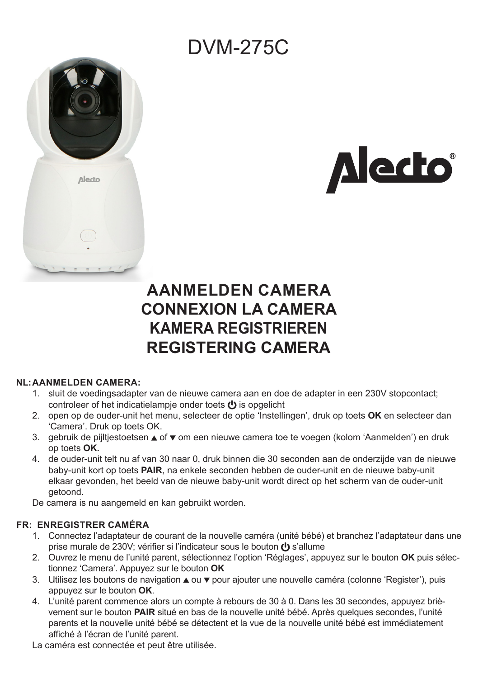# DVM-275C





# **AANMELDEN CAMERA CONNEXION LA CAMERA KAMERA REGISTRIEREN REGISTERING CAMERA**

#### **NL:AANMELDEN CAMERA:**

- 1. sluit de voedingsadapter van de nieuwe camera aan en doe de adapter in een 230V stopcontact; controleer of het indicatielampie onder toets  $\langle \cdot \rangle$  is opgelicht
- 2. open op de ouder-unit het menu, selecteer de optie 'Instellingen', druk op toets **OK** en selecteer dan 'Camera'. Druk op toets OK.
- 3. gebruik de pijltjestoetsen ▲ of ▼ om een nieuwe camera toe te voegen (kolom 'Aanmelden') en druk op toets **OK.**
- 4. de ouder-unit telt nu af van 30 naar 0, druk binnen die 30 seconden aan de onderzijde van de nieuwe baby-unit kort op toets **PAIR**, na enkele seconden hebben de ouder-unit en de nieuwe baby-unit elkaar gevonden, het beeld van de nieuwe baby-unit wordt direct op het scherm van de ouder-unit getoond.

De camera is nu aangemeld en kan gebruikt worden.

# **FR: ENREGISTRER CAMÉRA**

- 1. Connectez l'adaptateur de courant de la nouvelle caméra (unité bébé) et branchez l'adaptateur dans une prise murale de 230V; vérifier si l'indicateur sous le bouton (b s'allume
- 2. Ouvrez le menu de l'unité parent, sélectionnez l'option 'Réglages', appuyez sur le bouton **OK** puis sélectionnez 'Camera'. Appuyez sur le bouton **OK**
- 3. Utilisez les boutons de navigation ▲ ou ▼ pour ajouter une nouvelle caméra (colonne 'Register'), puis appuyez sur le bouton **OK**.
- 4. L'unité parent commence alors un compte à rebours de 30 à 0. Dans les 30 secondes, appuyez brièvement sur le bouton **PAIR** situé en bas de la nouvelle unité bébé. Après quelques secondes, l'unité parents et la nouvelle unité bébé se détectent et la vue de la nouvelle unité bébé est immédiatement affiché à l'écran de l'unité parent.

La caméra est connectée et peut être utilisée.